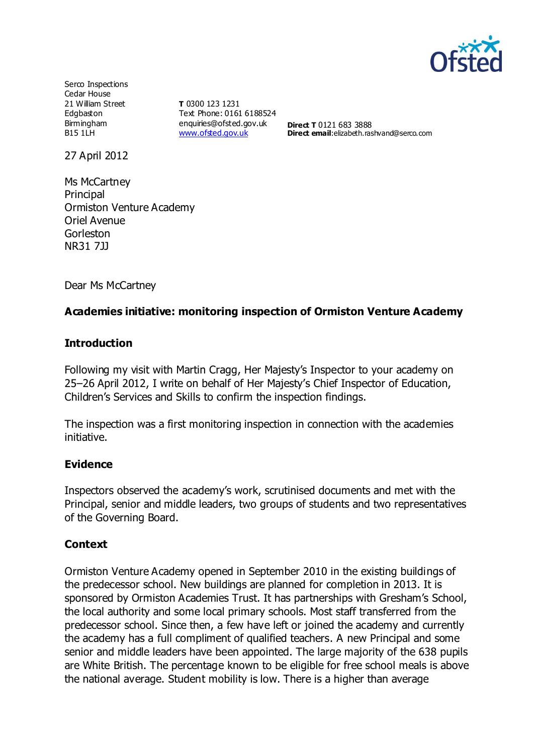

Serco Inspections Cedar House 21 William Street Edgbaston Birmingham B15 1LH

**T** 0300 123 1231 Text Phone: 0161 6188524 enquiries@ofsted.gov.uk [www.ofsted.gov.uk](http://www.ofsted.gov.uk/)

**Direct T** 0121 683 3888 **Direct email:**elizabeth.rashvand@serco.com

27 April 2012

Ms McCartney Principal Ormiston Venture Academy Oriel Avenue Gorleston NR31 7JJ

Dear Ms McCartney

### **Academies initiative: monitoring inspection of Ormiston Venture Academy**

#### **Introduction**

Following my visit with Martin Cragg, Her Majesty's Inspector to your academy on 25–26 April 2012, I write on behalf of Her Majesty's Chief Inspector of Education, Children's Services and Skills to confirm the inspection findings.

The inspection was a first monitoring inspection in connection with the academies initiative.

#### **Evidence**

Inspectors observed the academy's work, scrutinised documents and met with the Principal, senior and middle leaders, two groups of students and two representatives of the Governing Board.

#### **Context**

Ormiston Venture Academy opened in September 2010 in the existing buildings of the predecessor school. New buildings are planned for completion in 2013. It is sponsored by Ormiston Academies Trust. It has partnerships with Gresham's School, the local authority and some local primary schools. Most staff transferred from the predecessor school. Since then, a few have left or joined the academy and currently the academy has a full compliment of qualified teachers. A new Principal and some senior and middle leaders have been appointed. The large majority of the 638 pupils are White British. The percentage known to be eligible for free school meals is above the national average. Student mobility is low. There is a higher than average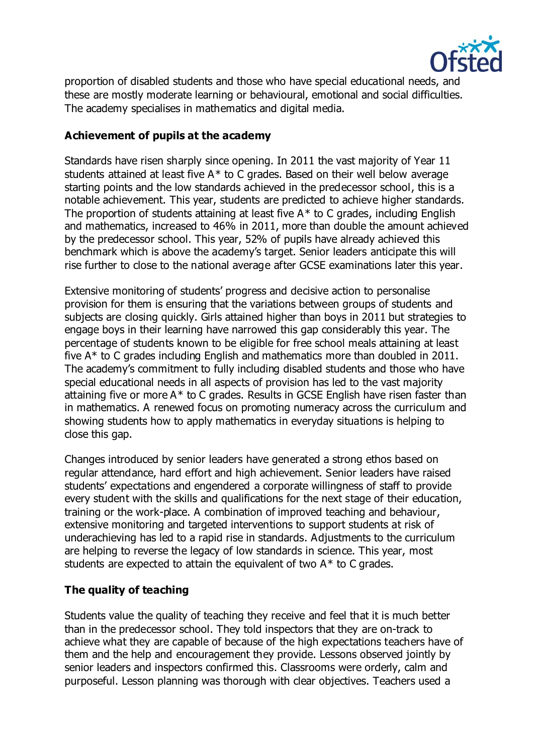

proportion of disabled students and those who have special educational needs, and these are mostly moderate learning or behavioural, emotional and social difficulties. The academy specialises in mathematics and digital media.

# **Achievement of pupils at the academy**

Standards have risen sharply since opening. In 2011 the vast majority of Year 11 students attained at least five A\* to C grades. Based on their well below average starting points and the low standards achieved in the predecessor school, this is a notable achievement. This year, students are predicted to achieve higher standards. The proportion of students attaining at least five  $A^*$  to C grades, including English and mathematics, increased to 46% in 2011, more than double the amount achieved by the predecessor school. This year, 52% of pupils have already achieved this benchmark which is above the academy's target. Senior leaders anticipate this will rise further to close to the national average after GCSE examinations later this year.

Extensive monitoring of students' progress and decisive action to personalise provision for them is ensuring that the variations between groups of students and subjects are closing quickly. Girls attained higher than boys in 2011 but strategies to engage boys in their learning have narrowed this gap considerably this year. The percentage of students known to be eligible for free school meals attaining at least five A\* to C grades including English and mathematics more than doubled in 2011. The academy's commitment to fully including disabled students and those who have special educational needs in all aspects of provision has led to the vast majority attaining five or more A\* to C grades. Results in GCSE English have risen faster than in mathematics. A renewed focus on promoting numeracy across the curriculum and showing students how to apply mathematics in everyday situations is helping to close this gap.

Changes introduced by senior leaders have generated a strong ethos based on regular attendance, hard effort and high achievement. Senior leaders have raised students' expectations and engendered a corporate willingness of staff to provide every student with the skills and qualifications for the next stage of their education, training or the work-place. A combination of improved teaching and behaviour, extensive monitoring and targeted interventions to support students at risk of underachieving has led to a rapid rise in standards. Adjustments to the curriculum are helping to reverse the legacy of low standards in science. This year, most students are expected to attain the equivalent of two  $A^*$  to C grades.

## **The quality of teaching**

Students value the quality of teaching they receive and feel that it is much better than in the predecessor school. They told inspectors that they are on-track to achieve what they are capable of because of the high expectations teachers have of them and the help and encouragement they provide. Lessons observed jointly by senior leaders and inspectors confirmed this. Classrooms were orderly, calm and purposeful. Lesson planning was thorough with clear objectives. Teachers used a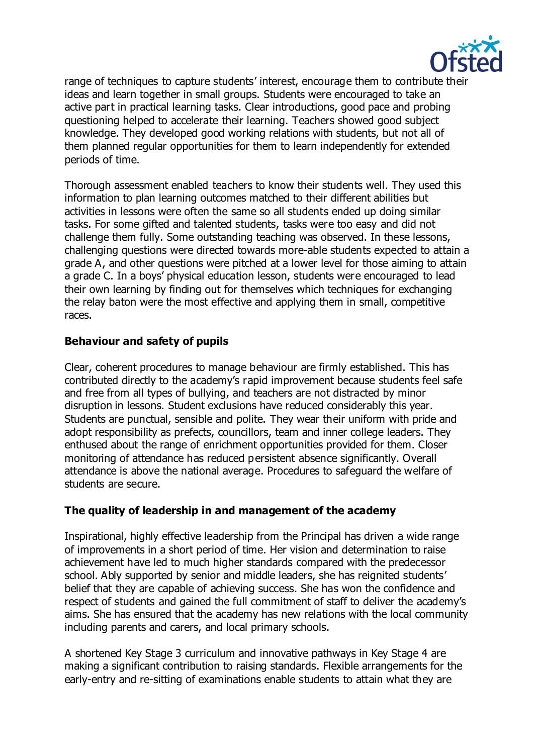

range of techniques to capture students' interest, encourage them to contribute their ideas and learn together in small groups. Students were encouraged to take an active part in practical learning tasks. Clear introductions, good pace and probing questioning helped to accelerate their learning. Teachers showed good subject knowledge. They developed good working relations with students, but not all of them planned regular opportunities for them to learn independently for extended periods of time.

Thorough assessment enabled teachers to know their students well. They used this information to plan learning outcomes matched to their different abilities but activities in lessons were often the same so all students ended up doing similar tasks. For some gifted and talented students, tasks were too easy and did not challenge them fully. Some outstanding teaching was observed. In these lessons, challenging questions were directed towards more-able students expected to attain a grade A, and other questions were pitched at a lower level for those aiming to attain a grade C. In a boys' physical education lesson, students were encouraged to lead their own learning by finding out for themselves which techniques for exchanging the relay baton were the most effective and applying them in small, competitive races.

# **Behaviour and safety of pupils**

Clear, coherent procedures to manage behaviour are firmly established. This has contributed directly to the academy's rapid improvement because students feel safe and free from all types of bullying, and teachers are not distracted by minor disruption in lessons. Student exclusions have reduced considerably this year. Students are punctual, sensible and polite. They wear their uniform with pride and adopt responsibility as prefects, councillors, team and inner college leaders. They enthused about the range of enrichment opportunities provided for them. Closer monitoring of attendance has reduced persistent absence significantly. Overall attendance is above the national average. Procedures to safeguard the welfare of students are secure.

# **The quality of leadership in and management of the academy**

Inspirational, highly effective leadership from the Principal has driven a wide range of improvements in a short period of time. Her vision and determination to raise achievement have led to much higher standards compared with the predecessor school. Ably supported by senior and middle leaders, she has reignited students' belief that they are capable of achieving success. She has won the confidence and respect of students and gained the full commitment of staff to deliver the academy's aims. She has ensured that the academy has new relations with the local community including parents and carers, and local primary schools.

A shortened Key Stage 3 curriculum and innovative pathways in Key Stage 4 are making a significant contribution to raising standards. Flexible arrangements for the early-entry and re-sitting of examinations enable students to attain what they are